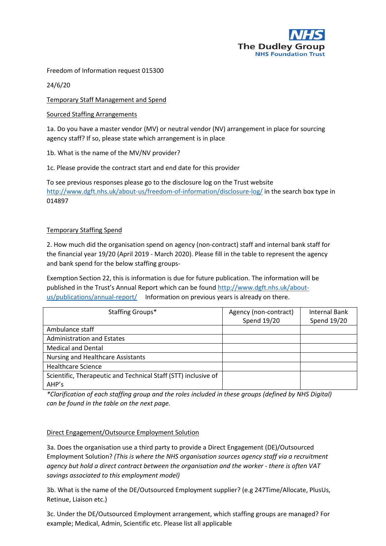

Freedom of Information request 015300

24/6/20

Temporary Staff Management and Spend

Sourced Staffing Arrangements

1a. Do you have a master vendor (MV) or neutral vendor (NV) arrangement in place for sourcing agency staff? If so, please state which arrangement is in place

1b. What is the name of the MV/NV provider?

1c. Please provide the contract start and end date for this provider

To see previous responses please go to the disclosure log on the Trust website <http://www.dgft.nhs.uk/about-us/freedom-of-information/disclosure-log/> in the search box type in 014897

## Temporary Staffing Spend

2. How much did the organisation spend on agency (non-contract) staff and internal bank staff for the financial year 19/20 (April 2019 - March 2020). Please fill in the table to represent the agency and bank spend for the below staffing groups-

Exemption Section 22, this is information is due for future publication. The information will be published in the Trust's Annual Report which can be found [http://www.dgft.nhs.uk/about](http://www.dgft.nhs.uk/about-us/publications/annual-report/)[us/publications/annual-report/](http://www.dgft.nhs.uk/about-us/publications/annual-report/) Information on previous years is already on there.

| Staffing Groups*                                                        | Agency (non-contract)<br>Spend 19/20 | Internal Bank<br>Spend 19/20 |
|-------------------------------------------------------------------------|--------------------------------------|------------------------------|
| Ambulance staff                                                         |                                      |                              |
| <b>Administration and Estates</b>                                       |                                      |                              |
| <b>Medical and Dental</b>                                               |                                      |                              |
| <b>Nursing and Healthcare Assistants</b>                                |                                      |                              |
| <b>Healthcare Science</b>                                               |                                      |                              |
| Scientific, Therapeutic and Technical Staff (STT) inclusive of<br>AHP's |                                      |                              |

*\*Clarification of each staffing group and the roles included in these groups (defined by NHS Digital) can be found in the table on the next page.*

## Direct Engagement/Outsource Employment Solution

3a. Does the organisation use a third party to provide a Direct Engagement (DE)/Outsourced Employment Solution? *(This is where the NHS organisation sources agency staff via a recruitment agency but hold a direct contract between the organisation and the worker - there is often VAT savings associated to this employment model)*

3b. What is the name of the DE/Outsourced Employment supplier? (e.g 247Time/Allocate, PlusUs, Retinue, Liaison etc.)

3c. Under the DE/Outsourced Employment arrangement, which staffing groups are managed? For example; Medical, Admin, Scientific etc. Please list all applicable